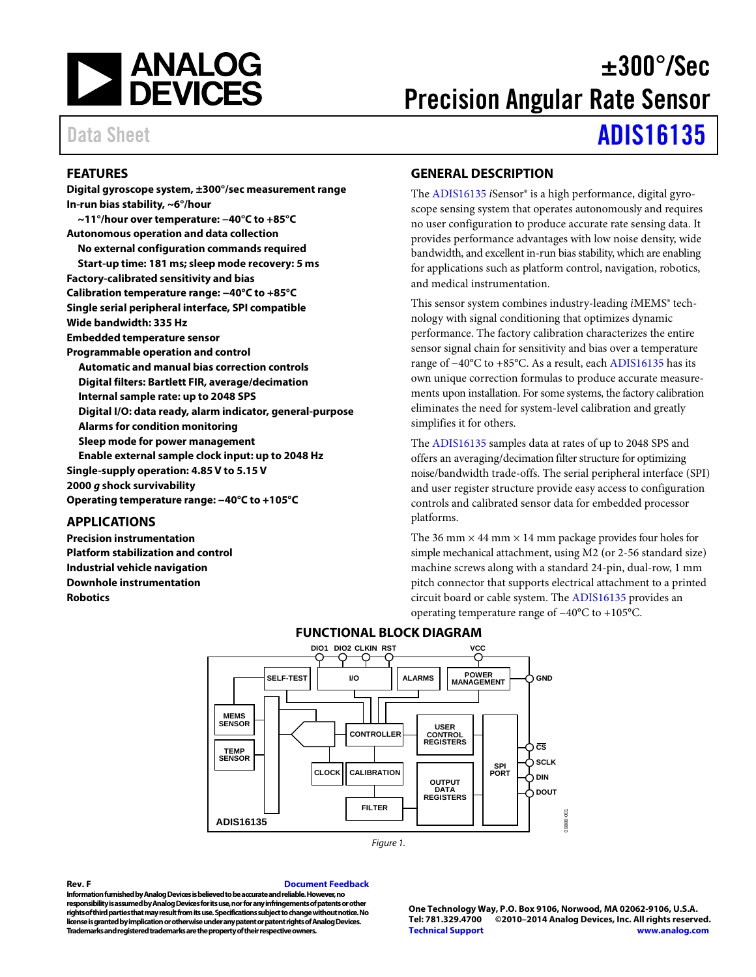

# $\pm 300^{\circ}/\mathrm{Sec}$ Precision Angular Rate Sensor

# Data Sheet **[ADIS16135](http://analog.com/ADIS16135?doc=ADIS16135.pdf)**

### <span id="page-0-0"></span>**FEATURES**

**Digital gyroscope system, ±300°/sec measurement range In-run bias stability, ~6°/hour ~11°/hour over temperature: −40°C to +85°C Autonomous operation and data collection No external configuration commands required Start-up time: 181 ms; sleep mode recovery: 5 ms Factory-calibrated sensitivity and bias Calibration temperature range: −40°C to +85°C Single serial peripheral interface, SPI compatible Wide bandwidth: 335 Hz Embedded temperature sensor Programmable operation and control Automatic and manual bias correction controls Digital filters: Bartlett FIR, average/decimation Internal sample rate: up to 2048 SPS Digital I/O: data ready, alarm indicator, general-purpose Alarms for condition monitoring Sleep mode for power management Enable external sample clock input: up to 2048 Hz Single-supply operation: 4.85 V to 5.15 V 2000** *g* **shock survivability Operating temperature range: −40°C to +105°C**

### <span id="page-0-1"></span>**APPLICATIONS**

<span id="page-0-3"></span>**Precision instrumentation Platform stabilization and control Industrial vehicle navigation Downhole instrumentation Robotics**

### <span id="page-0-2"></span>**GENERAL DESCRIPTION**

The [ADIS16135](http://analog.com/ADIS16135?doc=ADIS16135.pdf) *i*Sensor® is a high performance, digital gyroscope sensing system that operates autonomously and requires no user configuration to produce accurate rate sensing data. It provides performance advantages with low noise density, wide bandwidth, and excellent in-run bias stability, which are enabling for applications such as platform control, navigation, robotics, and medical instrumentation.

This sensor system combines industry-leading *iMEMS*<sup>®</sup> technology with signal conditioning that optimizes dynamic performance. The factory calibration characterizes the entire sensor signal chain for sensitivity and bias over a temperature range of −40°C to +85°C. As a result, each [ADIS16135](http://analog.com/ADIS16135?doc=ADIS16135.pdf) has its own unique correction formulas to produce accurate measurements upon installation. For some systems, the factory calibration eliminates the need for system-level calibration and greatly simplifies it for others.

The [ADIS16135](http://analog.com/ADIS16135?doc=ADIS16135.pdf) samples data at rates of up to 2048 SPS and offers an averaging/decimation filter structure for optimizing noise/bandwidth trade-offs. The serial peripheral interface (SPI) and user register structure provide easy access to configuration controls and calibrated sensor data for embedded processor platforms.

The 36 mm  $\times$  44 mm  $\times$  14 mm package provides four holes for simple mechanical attachment, using M2 (or 2-56 standard size) machine screws along with a standard 24-pin, dual-row, 1 mm pitch connector that supports electrical attachment to a printed circuit board or cable system. Th[e ADIS16135](http://analog.com/ADIS16135?doc=ADIS16135.pdf) provides an operating temperature range of −40°C to +105°C.



### **FUNCTIONAL BLOCK DIAGRAM**

*Figure 1.*

#### **Rev. F [Document Feedback](https://form.analog.com/Form_Pages/feedback/documentfeedback.aspx?doc=ADIS16135.pdf&product=ADIS16135&rev=F)**

**Information furnished by Analog Devices is believed to be accurate and reliable. However, no responsibility is assumed by Analog Devices for its use, nor for any infringements of patents or other rights of third parties that may result from its use. Specifications subject to change without notice. No license is granted by implication or otherwise under any patent or patent rights of Analog Devices. Trademarks and registered trademarks are the property of their respective owners.**

**One Technology Way, P.O. Box 9106, Norwood, MA 02062-9106, U.S.A. Tel: 781.329.4700 ©2010–2014 Analog Devices, Inc. All rights reserved. [Technical Support](http://www.analog.com/en/content/technical_support_page/fca.html) [www.analog.com](http://www.analog.com/)**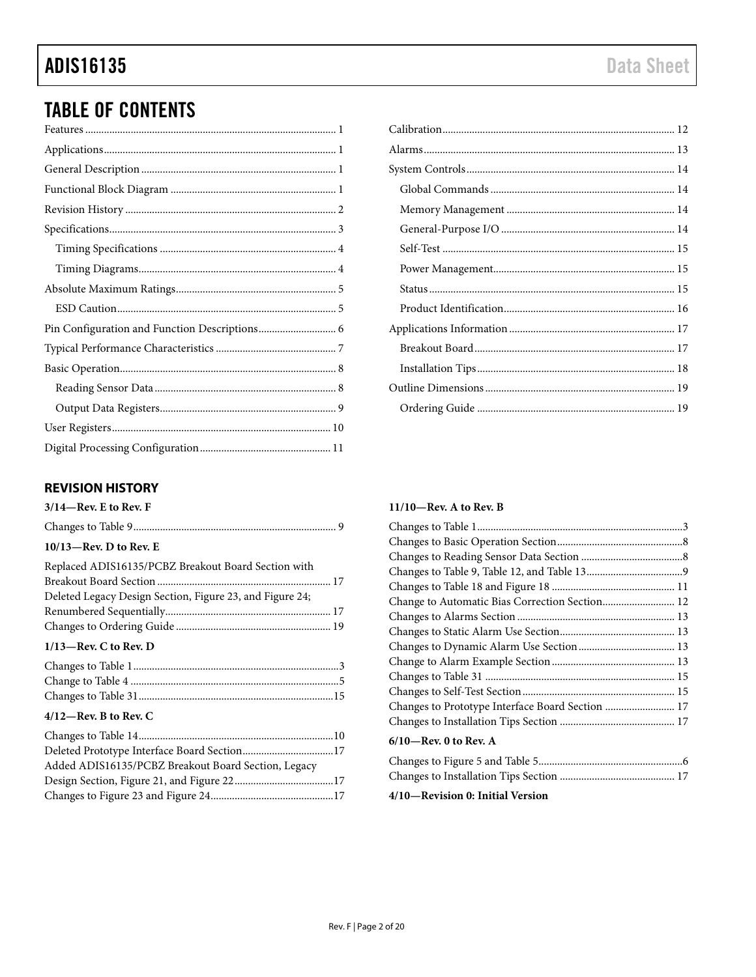# **TABLE OF CONTENTS**

### <span id="page-1-0"></span>**REVISION HISTORY**

| $3/14$ —Rev. E to Rev. F                                 |
|----------------------------------------------------------|
|                                                          |
| $10/13$ —Rev. D to Rev. E                                |
| Replaced ADIS16135/PCBZ Breakout Board Section with      |
|                                                          |
| Deleted Legacy Design Section, Figure 23, and Figure 24; |
|                                                          |
|                                                          |
| $1/13$ —Rev. C to Rev. D                                 |
|                                                          |
|                                                          |
|                                                          |
| $4/12$ —Rev. B to Rev. C                                 |
|                                                          |

| Added ADIS16135/PCBZ Breakout Board Section, Legacy |  |
|-----------------------------------------------------|--|
|                                                     |  |
|                                                     |  |

#### $11/10$ —Rev. A to Rev. B

| Change to Automatic Bias Correction Section 12   |  |
|--------------------------------------------------|--|
|                                                  |  |
|                                                  |  |
|                                                  |  |
|                                                  |  |
|                                                  |  |
|                                                  |  |
| Changes to Prototype Interface Board Section  17 |  |
|                                                  |  |
| $6/10$ —Rev. 0 to Rev. A                         |  |
|                                                  |  |
|                                                  |  |

#### 4/10-Revision 0: Initial Version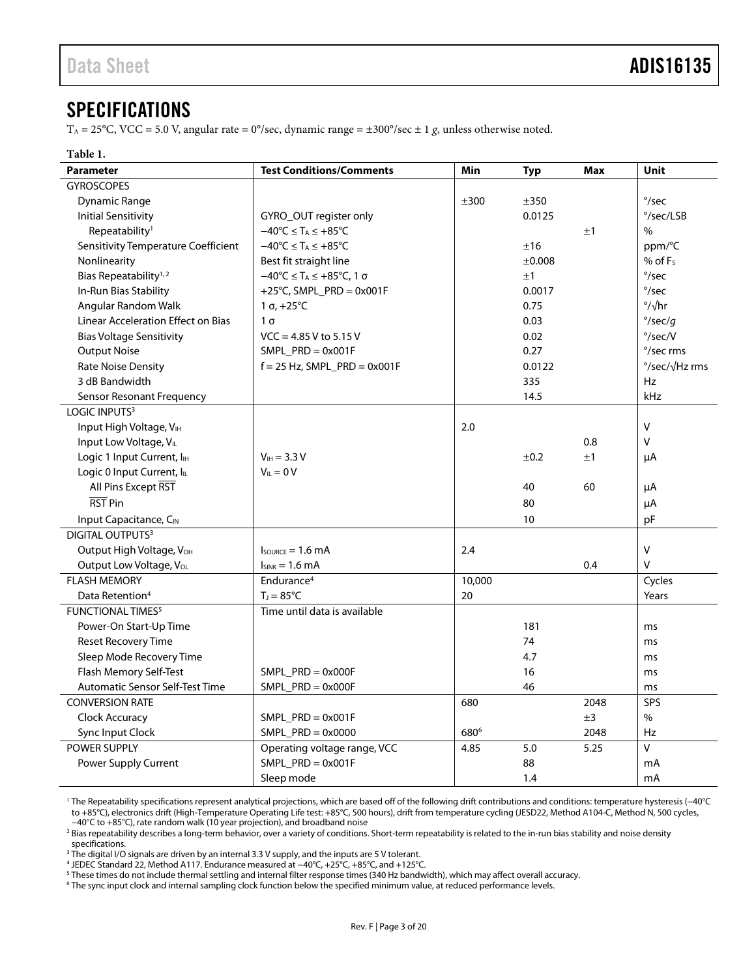### <span id="page-2-0"></span>**SPECIFICATIONS**

 $T_A = 25^{\circ}$ C, VCC = 5.0 V, angular rate = 0°/sec, dynamic range =  $\pm 300^{\circ}$ /sec  $\pm 1$  g, unless otherwise noted.

#### **Table 1.**

| <b>Parameter</b>                       | <b>Test Conditions/Comments</b>                                           | Min              | <b>Typ</b> | <b>Max</b> | Unit              |
|----------------------------------------|---------------------------------------------------------------------------|------------------|------------|------------|-------------------|
| <b>GYROSCOPES</b>                      |                                                                           |                  |            |            |                   |
| Dynamic Range                          |                                                                           | ±300             | ±350       |            | $\degree$ /sec    |
| <b>Initial Sensitivity</b>             | GYRO_OUT register only                                                    |                  | 0.0125     |            | °/sec/LSB         |
| Repeatability <sup>1</sup>             | $-40^{\circ}C \leq T_A \leq +85^{\circ}C$                                 |                  |            | ±1         | $\%$              |
| Sensitivity Temperature Coefficient    | $-40^{\circ}C \leq T_A \leq +85^{\circ}C$                                 |                  | ±16        |            | ppm/°C            |
| Nonlinearity                           | Best fit straight line                                                    |                  | ±0.008     |            | % of $F_s$        |
| Bias Repeatability <sup>1,2</sup>      | $-40^{\circ}$ C $\leq$ T <sub>A</sub> $\leq$ +85 $^{\circ}$ C, 1 $\sigma$ |                  | ±1         |            | $\degree$ /sec    |
| In-Run Bias Stability                  | +25°C, SMPL_PRD = $0x001F$                                                |                  | 0.0017     |            | $\degree$ /sec    |
| Angular Random Walk                    | 1 σ, $+25^{\circ}$ C                                                      |                  | 0.75       |            | $\frac{1}{2}$ /hr |
| Linear Acceleration Effect on Bias     | $1\sigma$                                                                 |                  | 0.03       |            | $\degree$ /sec/g  |
| <b>Bias Voltage Sensitivity</b>        | $VCC = 4.85 V$ to 5.15 V                                                  |                  | 0.02       |            | $\degree$ /sec/V  |
| <b>Output Noise</b>                    | $SMPL$ PRD = 0x001F                                                       |                  | 0.27       |            | °/sec rms         |
| <b>Rate Noise Density</b>              | $f = 25$ Hz, SMPL_PRD = 0x001F                                            |                  | 0.0122     |            | °/sec/√Hz rms     |
| 3 dB Bandwidth                         |                                                                           |                  | 335        |            | <b>Hz</b>         |
| <b>Sensor Resonant Frequency</b>       |                                                                           |                  | 14.5       |            | kHz               |
| LOGIC INPUTS <sup>3</sup>              |                                                                           |                  |            |            |                   |
| Input High Voltage, VIH                |                                                                           | 2.0              |            |            | $\vee$            |
| Input Low Voltage, VL                  |                                                                           |                  |            | 0.8        | $\vee$            |
| Logic 1 Input Current, I <sub>IH</sub> | $V_{IH} = 3.3 V$                                                          |                  | ±0.2       | ±1         | μA                |
| Logic 0 Input Current, ILL             | $V_{IL} = 0 V$                                                            |                  |            |            |                   |
| All Pins Except RST                    |                                                                           |                  | 40         | 60         | μA                |
| RST Pin                                |                                                                           |                  | 80         |            | μA                |
| Input Capacitance, CIN                 |                                                                           |                  | 10         |            | pF                |
| <b>DIGITAL OUTPUTS3</b>                |                                                                           |                  |            |            |                   |
| Output High Voltage, VOH               | $I_{\text{SOWRCE}} = 1.6 \text{ mA}$                                      | 2.4              |            |            | $\mathsf{V}$      |
| Output Low Voltage, VoL                | $I_{SINK} = 1.6 mA$                                                       |                  |            | 0.4        | $\vee$            |
| <b>FLASH MEMORY</b>                    | Endurance <sup>4</sup>                                                    | 10,000           |            |            | Cycles            |
| Data Retention <sup>4</sup>            | $T_1 = 85^{\circ}C$                                                       | 20               |            |            | Years             |
| <b>FUNCTIONAL TIMES<sup>5</sup></b>    | Time until data is available                                              |                  |            |            |                   |
| Power-On Start-Up Time                 |                                                                           |                  | 181        |            | ms                |
| <b>Reset Recovery Time</b>             |                                                                           |                  | 74         |            | ms                |
| Sleep Mode Recovery Time               |                                                                           |                  | 4.7        |            | ms                |
| Flash Memory Self-Test                 | SMPL $PRD = 0x000F$                                                       |                  | 16         |            | ms                |
| Automatic Sensor Self-Test Time        | $SMPL$ PRD = 0x000F                                                       |                  | 46         |            | ms                |
| <b>CONVERSION RATE</b>                 |                                                                           | 680              |            | 2048       | SPS               |
| Clock Accuracy                         | $SMPL$ PRD = 0x001F                                                       |                  |            | ±3         | $\frac{0}{0}$     |
| Sync Input Clock                       | $SMPL$ PRD = 0x0000                                                       | 680 <sup>6</sup> |            | 2048       | <b>Hz</b>         |
| <b>POWER SUPPLY</b>                    | Operating voltage range, VCC                                              | 4.85             | 5.0        | 5.25       | v                 |
| <b>Power Supply Current</b>            | $SMPL_PRD = 0x001F$                                                       |                  | 88         |            | mA                |
|                                        | Sleep mode                                                                |                  | 1.4        |            | mA                |

<sup>1</sup> The Repeatability specifications represent analytical projections, which are based off of the following drift contributions and conditions: temperature hysteresis (−40°C to +85°C), electronics drift (High-Temperature Operating Life test: +85°C, 500 hours), drift from temperature cycling (JESD22, Method A104-C, Method N, 500 cycles, −40°C to +85°C), rate random walk (10 year projection), and broadband noise

 $^3$  The digital I/O signals are driven by an internal 3.3 V supply, and the inputs are 5 V tolerant.

<sup>4</sup> JEDEC Standard 22, Method A117. Endurance measured at −40°C, +25°C, +85°C, and +125°C.

<sup>&</sup>lt;sup>2</sup> Bias repeatability describes a long-term behavior, over a variety of conditions. Short-term repeatability is related to the in-run bias stability and noise density specifications.

<sup>&</sup>lt;sup>5</sup> These times do not include thermal settling and internal filter response times (340 Hz bandwidth), which may affect overall accuracy.

<sup>6</sup> The sync input clock and internal sampling clock function below the specified minimum value, at reduced performance levels.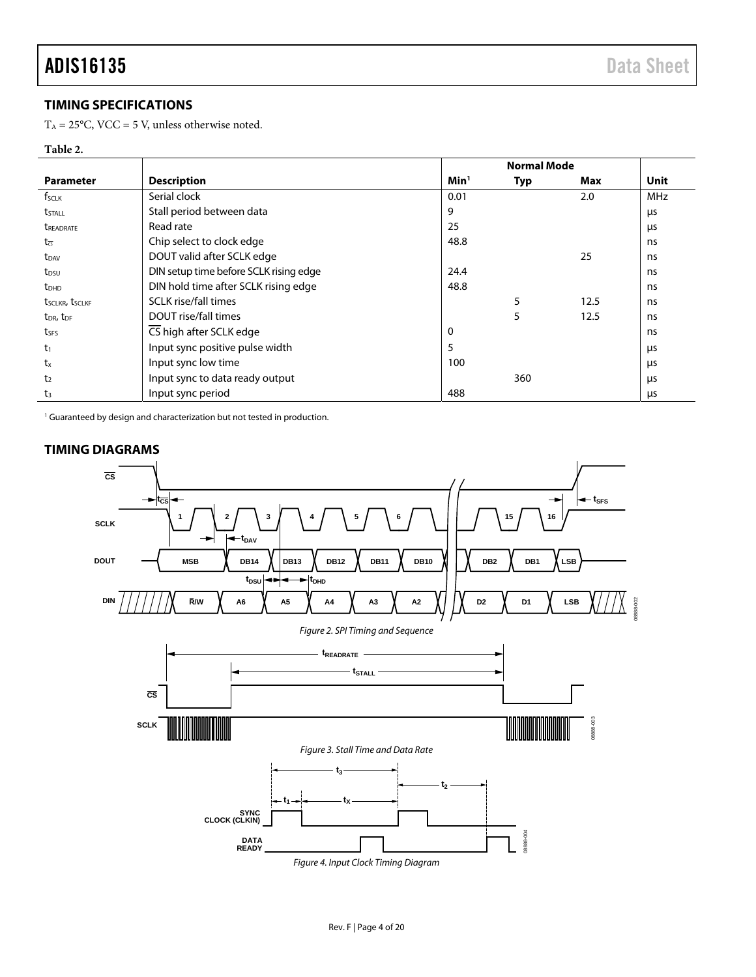### <span id="page-3-0"></span>**TIMING SPECIFICATIONS**

 $T_A = 25^{\circ}$ C, VCC = 5 V, unless otherwise noted.

#### **Table 2.**

|                                   |                                        | <b>Normal Mode</b> |            |      |            |
|-----------------------------------|----------------------------------------|--------------------|------------|------|------------|
| <b>Parameter</b>                  | <b>Description</b>                     | Min <sup>1</sup>   | <b>Typ</b> | Max  | Unit       |
| f <sub>sclk</sub>                 | Serial clock                           | 0.01               |            | 2.0  | <b>MHz</b> |
| t <sub>stall</sub>                | Stall period between data              | 9                  |            |      | μs         |
| <b><i>UREADRATE</i></b>           | Read rate                              | 25                 |            |      | μs         |
| $t_{\overline{cs}}$               | Chip select to clock edge              | 48.8               |            |      | ns         |
| t <sub>DAV</sub>                  | DOUT valid after SCLK edge             |                    |            | 25   | ns         |
| t <sub>DSU</sub>                  | DIN setup time before SCLK rising edge | 24.4               |            |      | ns         |
| <b>t</b> <sub>DHD</sub>           | DIN hold time after SCLK rising edge   | 48.8               |            |      | ns         |
| tsclkr, tsclkf                    | <b>SCLK</b> rise/fall times            |                    | 5          | 12.5 | ns         |
| t <sub>DR</sub> , t <sub>DF</sub> | DOUT rise/fall times                   |                    | 5          | 12.5 | ns         |
| tses                              | CS high after SCLK edge                | 0                  |            |      | ns         |
| $t_1$                             | Input sync positive pulse width        | 5                  |            |      | μs         |
| $t_{x}$                           | Input sync low time                    | 100                |            |      | μs         |
| t <sub>2</sub>                    | Input sync to data ready output        |                    | 360        |      | μs         |
| t <sub>3</sub>                    | Input sync period                      | 488                |            |      | μs         |

<sup>1</sup> Guaranteed by design and characterization but not tested in production.

<span id="page-3-1"></span>

Figure 4. Input Clock Timing Diagram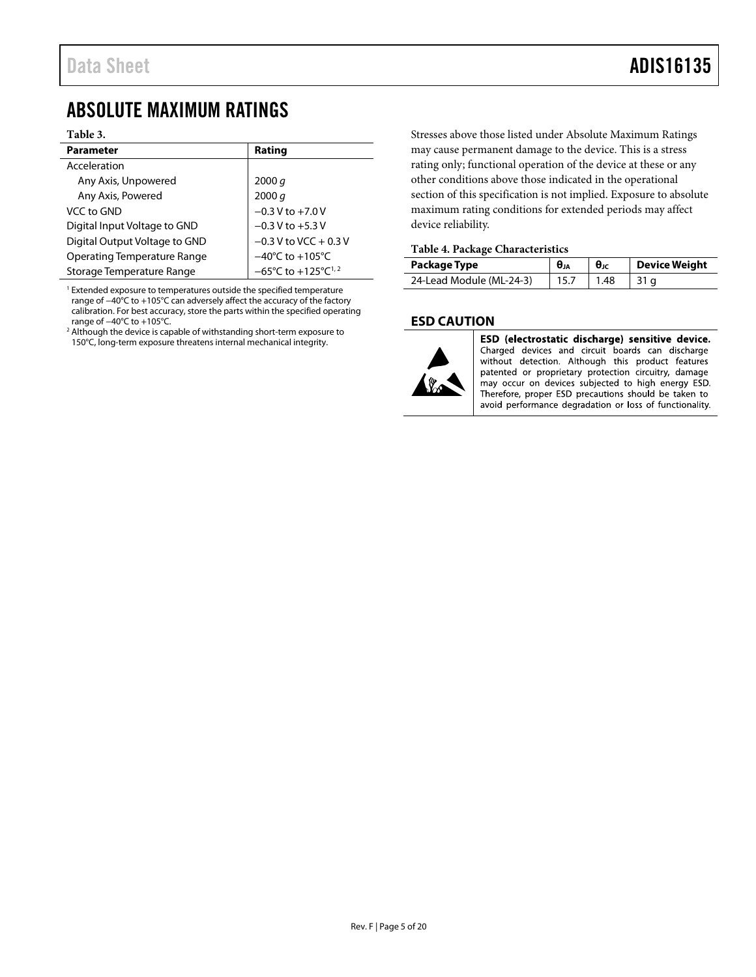## <span id="page-4-0"></span>ABSOLUTE MAXIMUM RATINGS

#### **Table 3.**

| Parameter                     | Rating                                              |
|-------------------------------|-----------------------------------------------------|
| Acceleration                  |                                                     |
| Any Axis, Unpowered           | 2000 q                                              |
| Any Axis, Powered             | 2000 q                                              |
| VCC to GND                    | $-0.3 V$ to $+7.0 V$                                |
| Digital Input Voltage to GND  | $-0.3 V$ to $+5.3 V$                                |
| Digital Output Voltage to GND | $-0.3$ V to VCC + 0.3 V                             |
| Operating Temperature Range   | $-40^{\circ}$ C to $+105^{\circ}$ C                 |
| Storage Temperature Range     | $-65^{\circ}$ C to +125 $^{\circ}$ C <sup>1,2</sup> |

<sup>1</sup> Extended exposure to temperatures outside the specified temperature range of −40°C to +105°C can adversely affect the accuracy of the factory calibration. For best accuracy, store the parts within the specified operating range of −40°C to +105°C.

<sup>2</sup> Although the device is capable of withstanding short-term exposure to 150°C, long-term exposure threatens internal mechanical integrity.

Stresses above those listed under Absolute Maximum Ratings may cause permanent damage to the device. This is a stress rating only; functional operation of the device at these or any other conditions above those indicated in the operational section of this specification is not implied. Exposure to absolute maximum rating conditions for extended periods may affect device reliability.

#### **Table 4. Package Characteristics**

| Package Type             | $\theta_{JA}$ |      | Device Weight |
|--------------------------|---------------|------|---------------|
| 24-Lead Module (ML-24-3) |               | 1.48 |               |

#### <span id="page-4-1"></span>**ESD CAUTION**



ESD (electrostatic discharge) sensitive device. Charged devices and circuit boards can discharge without detection. Although this product features patented or proprietary protection circuitry, damage may occur on devices subjected to high energy ESD. Therefore, proper ESD precautions should be taken to avoid performance degradation or loss of functionality.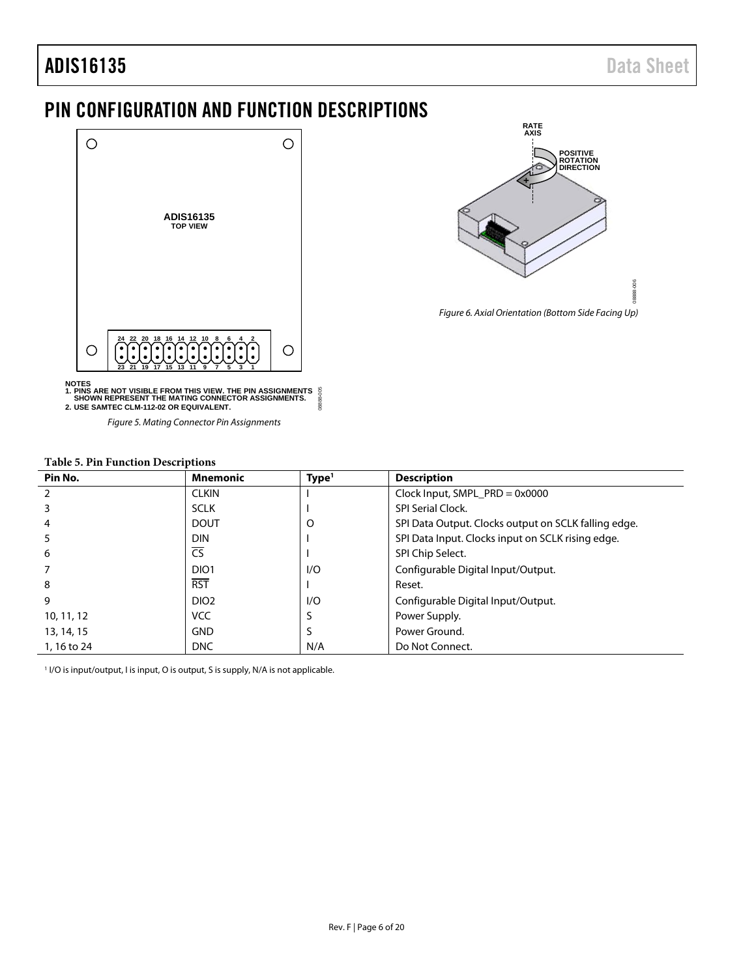# adis16135 Data Sheet

## <span id="page-5-0"></span>PIN CONFIGURATION AND FUNCTION DESCRIPTIONS





NOTES<br>1. PINS ARE NOT VISIBLE FROM THIS VIEW. THE PIN ASSIGNMENTS<br>- SHOWN REPRESENT THE MATING CONNECTOR ASSIGNMENTS.<br>2. USE SAMTEC CLM-112-02 OR EQUIVALENT. ğ 08888-005  $0.000$ 

Figure 5. Mating Connector Pin Assignments

| Pin No.        | <b>Mnemonic</b>        | Type <sup>1</sup> | <b>Description</b>                                   |  |  |
|----------------|------------------------|-------------------|------------------------------------------------------|--|--|
| $\overline{2}$ | <b>CLKIN</b>           |                   | Clock Input, SMPL_PRD = $0x0000$                     |  |  |
| 3              | <b>SCLK</b>            |                   | SPI Serial Clock.                                    |  |  |
| 4              | <b>DOUT</b>            | O                 | SPI Data Output. Clocks output on SCLK falling edge. |  |  |
| 5              | <b>DIN</b>             |                   | SPI Data Input. Clocks input on SCLK rising edge.    |  |  |
| 6              | $\overline{\text{CS}}$ |                   | SPI Chip Select.                                     |  |  |
|                | DIO <sub>1</sub>       | 1/O               | Configurable Digital Input/Output.                   |  |  |
| 8              | <b>RST</b>             |                   | Reset.                                               |  |  |
| 9              | DIO <sub>2</sub>       | 1/O               | Configurable Digital Input/Output.                   |  |  |
| 10, 11, 12     | <b>VCC</b>             |                   | Power Supply.                                        |  |  |
| 13, 14, 15     | <b>GND</b>             | S                 | Power Ground.                                        |  |  |
| 1, 16 to 24    | <b>DNC</b>             | N/A               | Do Not Connect.                                      |  |  |

### <span id="page-5-1"></span>**Table 5. Pin Function Descriptions**

<sup>1</sup> I/O is input/output, I is input, O is output, S is supply, N/A is not applicable.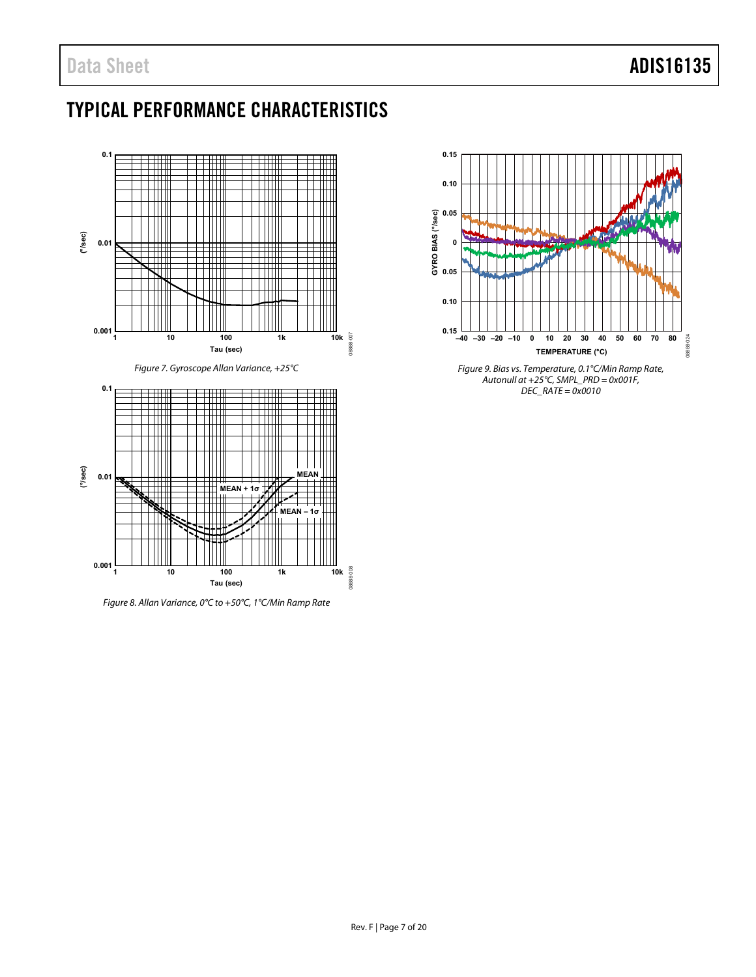# <span id="page-6-0"></span>TYPICAL PERFORMANCE CHARACTERISTICS

<span id="page-6-1"></span>

Figure 8. Allan Variance, 0°C to +50°C, 1°C/Min Ramp Rate



Figure 9. Bias vs. Temperature, 0.1°C/Min Ramp Rate, Autonull at +25°C, SMPL\_PRD = 0x001F,  $DEC\_RATE = 0 \times 0010$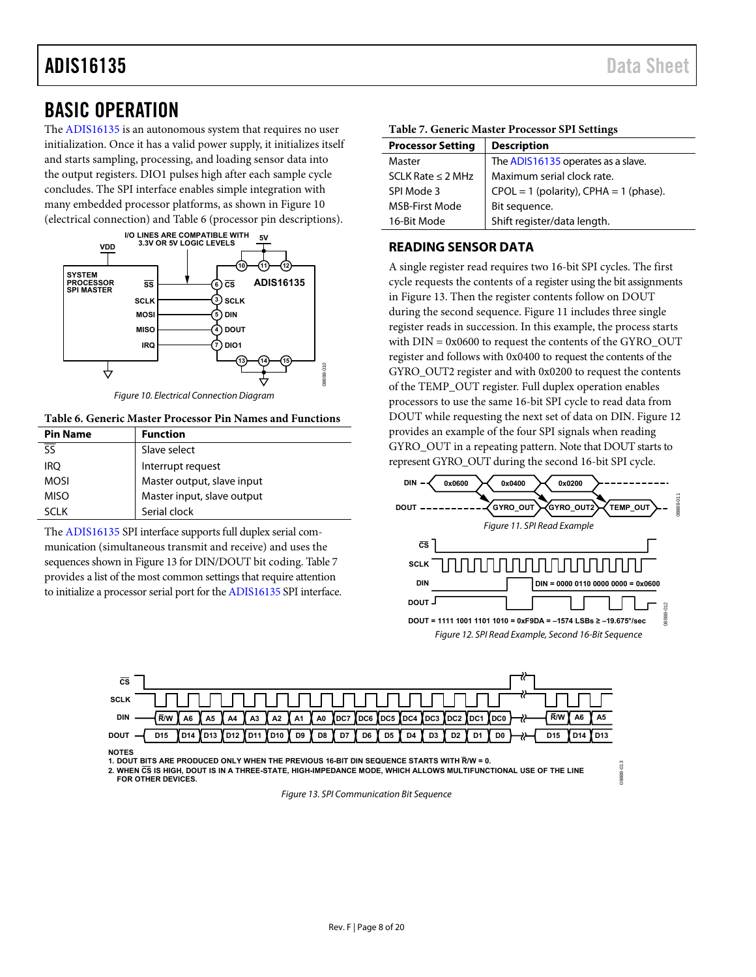## <span id="page-7-0"></span>BASIC OPERATION

The [ADIS16135](http://analog.com/ADIS16135?doc=ADIS16135.pdf) is an autonomous system that requires no user initialization. Once it has a valid power supply, it initializes itself and starts sampling, processing, and loading sensor data into the output registers. DIO1 pulses high after each sample cycle concludes. The SPI interface enables simple integration with many embedded processor platforms, as shown i[n Figure 10](#page-7-2)  (electrical connection) an[d Table 6 \(](#page-7-3)processor pin descriptions).



Figure 10. Electrical Connection Diagram

<span id="page-7-3"></span><span id="page-7-2"></span>**Table 6. Generic Master Processor Pin Names and Functions** 

| <b>Pin Name</b>          | <b>Function</b>            |
|--------------------------|----------------------------|
| $\overline{\mathsf{SS}}$ | Slave select               |
| <b>IRO</b>               | Interrupt request          |
| <b>MOSI</b>              | Master output, slave input |
| <b>MISO</b>              | Master input, slave output |
| SCI K                    | Serial clock               |

The [ADIS16135](http://analog.com/ADIS16135?doc=ADIS16135.pdf) SPI interface supports full duplex serial communication (simultaneous transmit and receive) and uses the sequences shown i[n Figure 13 f](#page-7-4)or DIN/DOUT bit coding[. Table 7](#page-7-5)  provides a list of the most common settings that require attention to initialize a processor serial port for th[e ADIS16135](http://analog.com/ADIS16135?doc=ADIS16135.pdf) SPI interface.

<span id="page-7-5"></span>

| <b>Processor Setting</b> | <b>Description</b>                         |
|--------------------------|--------------------------------------------|
| Master                   | The ADIS16135 operates as a slave.         |
| SCLK Rate $\leq$ 2 MHz   | Maximum serial clock rate.                 |
| SPI Mode 3               | $CPOL = 1$ (polarity), $CPHA = 1$ (phase). |
| <b>MSB-First Mode</b>    | Bit sequence.                              |
| 16-Bit Mode              | Shift register/data length.                |

#### <span id="page-7-1"></span>**READING SENSOR DATA**

A single register read requires two 16-bit SPI cycles. The first cycle requests the contents of a register using the bit assignments in [Figure 13.](#page-7-4) Then the register contents follow on DOUT during the second sequence[. Figure 11 i](#page-7-6)ncludes three single register reads in succession. In this example, the process starts with  $DIN = 0x0600$  to request the contents of the GYRO  $OUT$ register and follows with 0x0400 to request the contents of the GYRO OUT2 register and with 0x0200 to request the contents of the TEMP\_OUT register. Full duplex operation enables processors to use the same 16-bit SPI cycle to read data from DOUT while requesting the next set of data on DIN. [Figure 12](#page-7-7)  provides an example of the four SPI signals when reading GYRO\_OUT in a repeating pattern. Note that DOUT starts to represent GYRO\_OUT during the second 16-bit SPI cycle.

<span id="page-7-7"></span><span id="page-7-6"></span>

08888-013

8888.013



**1. DOUT BITS ARE PRODUCED ONLY WHEN THE PREVIOUS 16-BIT DIN SEQUENCE STARTS WITH R/W = 0.**

<span id="page-7-4"></span>**2. WHEN CS IS HIGH, DOUT IS IN A THREE-STATE, HIGH-IMPEDANCE MODE, WHICH ALLOWS MULTIFUNCTIONAL USE OF THE LINE FOR OTHER DEVICES.**

Figure 13. SPI Communication Bit Sequence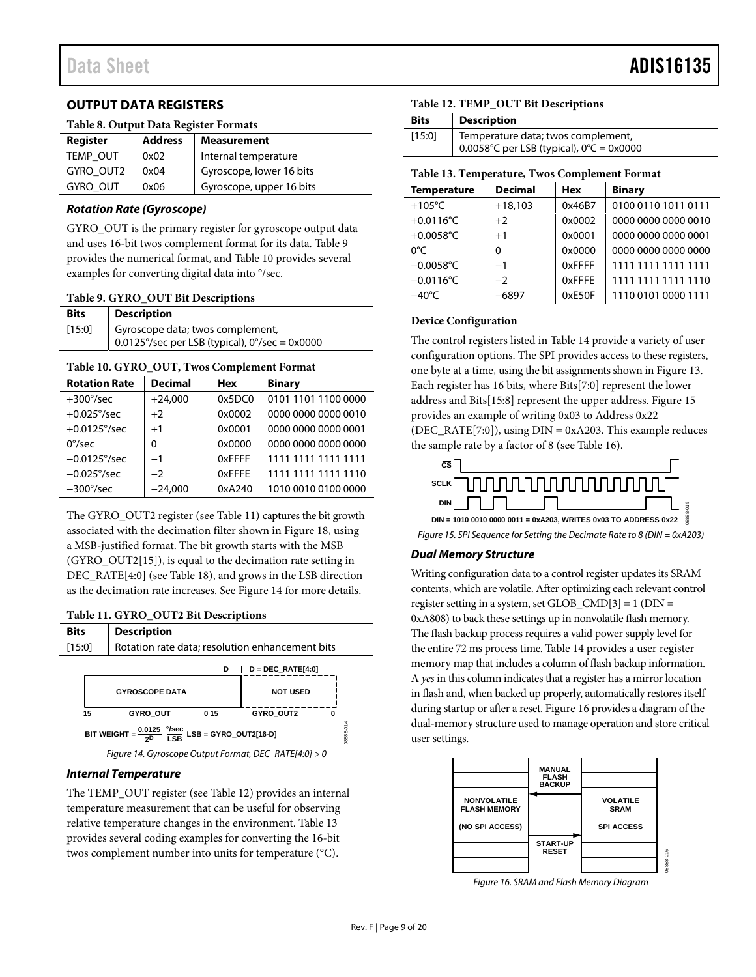### <span id="page-8-0"></span>**OUTPUT DATA REGISTERS**

#### **Table 8. Output Data Register Formats**

| Register        | <b>Address</b> | <b>Measurement</b>       |
|-----------------|----------------|--------------------------|
| <b>TEMP OUT</b> | 0x02           | Internal temperature     |
| GYRO OUT2       | 0x04           | Gyroscope, lower 16 bits |
| <b>GYRO OUT</b> | 0x06           | Gyroscope, upper 16 bits |

#### **Rotation Rate (Gyroscope)**

GYRO\_OUT is the primary register for gyroscope output data and uses 16-bit twos complement format for its data. [Table 9](#page-8-1)  provides the numerical format, and [Table 10 p](#page-8-2)rovides several examples for converting digital data into °/sec.

#### <span id="page-8-1"></span>**Table 9. GYRO\_OUT Bit Descriptions**

| <b>Bits</b> | Description                                                                                  |
|-------------|----------------------------------------------------------------------------------------------|
| [15:0]      | Gyroscope data; twos complement,<br>0.0125°/sec per LSB (typical), $0^{\circ}$ /sec = 0x0000 |

#### <span id="page-8-2"></span>**Table 10. GYRO\_OUT, Twos Complement Format**

| <b>Rotation Rate</b>  | <b>Decimal</b> | <b>Hex</b> | <b>Binary</b>       |
|-----------------------|----------------|------------|---------------------|
| $+300^{\circ}/sec$    | $+24.000$      | 0x5DC0     | 0101 1101 1100 0000 |
| $+0.025^{\circ}/sec$  | $+2$           | 0x0002     | 0000 0000 0000 0010 |
| $+0.0125^{\circ}/sec$ | $+1$           | 0x0001     | 0000 0000 0000 0001 |
| $0^{\circ}/sec$       | $\Omega$       | 0x0000     | 0000 0000 0000 0000 |
| $-0.0125^{\circ}/sec$ | $-1$           | 0xFFFF     | 1111 1111 1111 1111 |
| $-0.025^{\circ}/sec$  | $-2$           | 0xFFFE     | 1111 1111 1111 1110 |
| $-300^{\circ}/sec$    | $-24.000$      | 0xA240     | 1010 0010 0100 0000 |

The GYRO\_OUT2 register (se[e Table 11\)](#page-8-3) captures the bit growth associated with the decimation filter shown i[n Figure 18,](#page-10-1) using a MSB-justified format. The bit growth starts with the MSB (GYRO\_OUT2[15]), is equal to the decimation rate setting in DEC\_RATE[4:0] (se[e Table 18\)](#page-10-2), and grows in the LSB direction as the decimation rate increases. See [Figure 14 f](#page-8-4)or more details.

#### <span id="page-8-3"></span>**Table 11. GYRO\_OUT2 Bit Descriptions**



#### <span id="page-8-4"></span>**Internal Temperature**

The TEMP\_OUT register (se[e Table 12\)](#page-8-5) provides an internal temperature measurement that can be useful for observing relative temperature changes in the environment. [Table 13](#page-8-6)  provides several coding examples for converting the 16-bit twos complement number into units for temperature (°C).

#### <span id="page-8-5"></span>**Table 12. TEMP\_OUT Bit Descriptions**

| <b>Bits</b> | <b>Description</b>                                                                             |
|-------------|------------------------------------------------------------------------------------------------|
| [15:0]      | Temperature data; twos complement,<br>0.0058°C per LSB (typical), $0^{\circ}C = 0 \times 0000$ |

#### <span id="page-8-6"></span>**Table 13. Temperature, Twos Complement Format**

| <b>Temperature</b> | <b>Decimal</b> | <b>Hex</b> | <b>Binary</b>       |
|--------------------|----------------|------------|---------------------|
| $+105^{\circ}$ C   | $+18,103$      | 0x46B7     | 0100 0110 1011 0111 |
| $+0.0116$ °C       | $+2$           | 0x0002     | 0000 0000 0000 0010 |
| +0.0058°C          | $+1$           | 0x0001     | 0000 0000 0000 0001 |
| 0°C                | $\Omega$       | 0x0000     | 0000 0000 0000 0000 |
| $-0.0058$ °C       | $-1$           | 0xFFFF     | 1111 1111 1111 1111 |
| $-0.0116$ °C       | $-2$           | 0xFFFE     | 1111 1111 1111 1110 |
| $-40^{\circ}$ C    | $-6897$        | 0xE50F     | 1110 0101 0000 1111 |

#### **Device Configuration**

The control registers listed in [Table 14 p](#page-9-1)rovide a variety of user configuration options. The SPI provides access to these registers, one byte at a time, using the bit assignments shown in [Figure 13.](#page-7-4)  Each register has 16 bits, where Bits[7:0] represent the lower address and Bits[15:8] represent the upper address. [Figure 15](#page-8-7)  provides an example of writing 0x03 to Address 0x22 (DEC\_RATE[7:0]), using  $DIN = 0xA203$ . This example reduces the sample rate by a factor of 8 (see [Table 16\)](#page-10-3).



<span id="page-8-7"></span>Figure 15. SPI Sequence for Setting the Decimate Rate to 8 (DIN = 0xA203)

#### **Dual Memory Structure**

Writing configuration data to a control register updates its SRAM contents, which are volatile. After optimizing each relevant control register setting in a system, set GLOB\_CMD[3] = 1 (DIN = 0xA808) to back these settings up in nonvolatile flash memory. The flash backup process requires a valid power supply level for the entire 72 ms process time[. Table 14](#page-9-1) provides a user register memory map that includes a column of flash backup information. A *yes* in this column indicates that a register has a mirror location in flash and, when backed up properly, automatically restores itself during startup or after a reset[. Figure 16 p](#page-8-8)rovides a diagram of the dual-memory structure used to manage operation and store critical user settings.



<span id="page-8-8"></span>Figure 16. SRAM and Flash Memory Diagram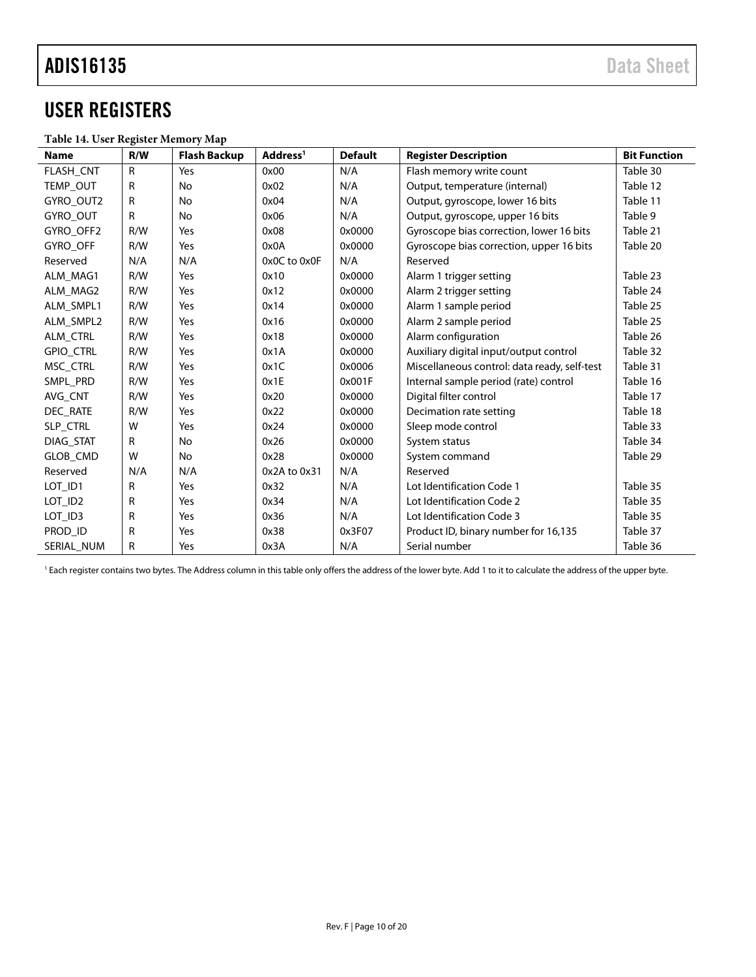# <span id="page-9-0"></span>USER REGISTERS

#### <span id="page-9-1"></span>**Table 14. User Register Memory Map**

| <b>Name</b>      | R/W          | <b>Flash Backup</b> | Address <sup>1</sup> | <b>Default</b> | <b>Register Description</b>                  | <b>Bit Function</b> |
|------------------|--------------|---------------------|----------------------|----------------|----------------------------------------------|---------------------|
| FLASH_CNT        | $\mathsf{R}$ | Yes                 | 0x00                 | N/A            | Flash memory write count                     | Table 30            |
| TEMP_OUT         | R            | <b>No</b>           | 0x02                 | N/A            | Output, temperature (internal)               | Table 12            |
| GYRO OUT2        | R            | <b>No</b>           | 0x04                 | N/A            | Output, gyroscope, lower 16 bits             | Table 11            |
| GYRO OUT         | R            | <b>No</b>           | 0x06                 | N/A            | Output, gyroscope, upper 16 bits             | Table 9             |
| GYRO OFF2        | R/W          | Yes                 | 0x08                 | 0x0000         | Gyroscope bias correction, lower 16 bits     | Table 21            |
| <b>GYRO OFF</b>  | R/W          | Yes                 | 0x0A                 | 0x0000         | Gyroscope bias correction, upper 16 bits     | Table 20            |
| Reserved         | N/A          | N/A                 | 0x0C to 0x0F         | N/A            | Reserved                                     |                     |
| ALM_MAG1         | R/W          | Yes                 | 0x10                 | 0x0000         | Alarm 1 trigger setting                      | Table 23            |
| ALM_MAG2         | R/W          | Yes                 | 0x12                 | 0x0000         | Alarm 2 trigger setting                      | Table 24            |
| ALM_SMPL1        | R/W          | Yes                 | 0x14                 | 0x0000         | Alarm 1 sample period                        | Table 25            |
| ALM SMPL2        | R/W          | Yes                 | 0x16                 | 0x0000         | Alarm 2 sample period                        | Table 25            |
| <b>ALM CTRL</b>  | R/W          | Yes                 | 0x18                 | 0x0000         | Alarm configuration                          | Table 26            |
| <b>GPIO CTRL</b> | R/W          | Yes                 | 0x1A                 | 0x0000         | Auxiliary digital input/output control       | Table 32            |
| MSC CTRL         | R/W          | Yes                 | 0x1C                 | 0x0006         | Miscellaneous control: data ready, self-test | Table 31            |
| SMPL PRD         | R/W          | Yes                 | 0x1E                 | 0x001F         | Internal sample period (rate) control        | Table 16            |
| AVG CNT          | R/W          | Yes                 | 0x20                 | 0x0000         | Digital filter control                       | Table 17            |
| DEC_RATE         | R/W          | Yes                 | 0x22                 | 0x0000         | Decimation rate setting                      | Table 18            |
| SLP CTRL         | W            | Yes                 | 0x24                 | 0x0000         | Sleep mode control                           | Table 33            |
| DIAG STAT        | R            | <b>No</b>           | 0x26                 | 0x0000         | System status                                | Table 34            |
| GLOB_CMD         | W            | No                  | 0x28                 | 0x0000         | System command                               | Table 29            |
| Reserved         | N/A          | N/A                 | 0x2A to 0x31         | N/A            | Reserved                                     |                     |
| LOT_ID1          | R            | Yes                 | 0x32                 | N/A            | Lot Identification Code 1                    | Table 35            |
| LOT_ID2          | R            | Yes                 | 0x34                 | N/A            | Lot Identification Code 2                    | Table 35            |
| LOT_ID3          | R            | Yes                 | 0x36                 | N/A            | Lot Identification Code 3                    | Table 35            |
| PROD ID          | R            | Yes                 | 0x38                 | 0x3F07         | Product ID, binary number for 16,135         | Table 37            |
| SERIAL NUM       | R            | Yes                 | 0x3A                 | N/A            | Serial number                                | Table 36            |

<sup>1</sup> Each register contains two bytes. The Address column in this table only offers the address of the lower byte. Add 1 to it to calculate the address of the upper byte.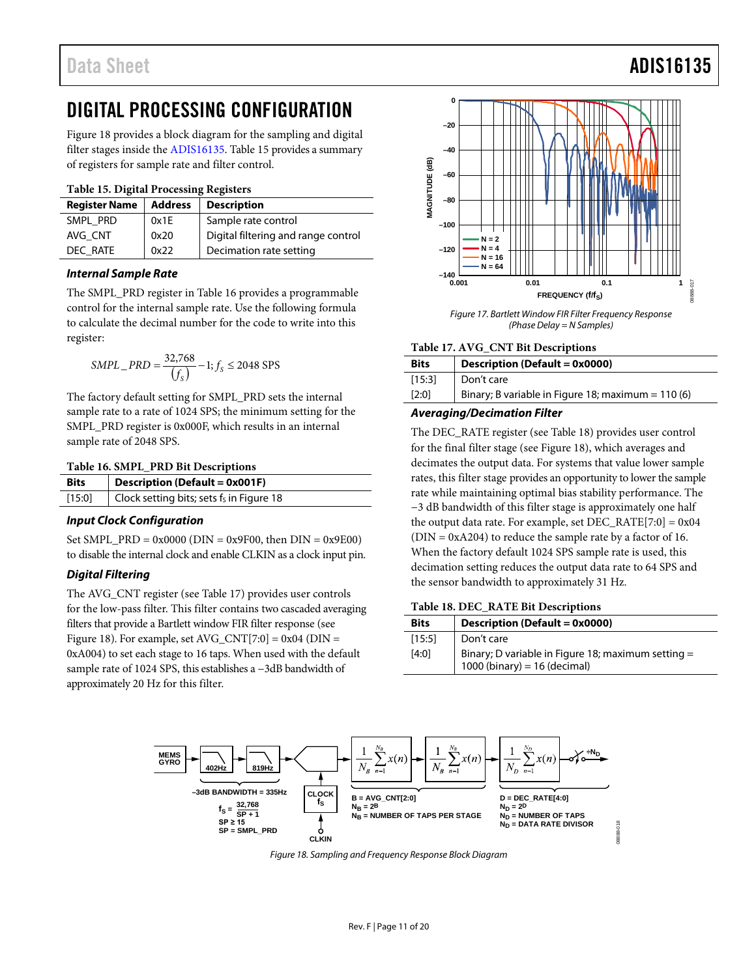# <span id="page-10-0"></span>DIGITAL PROCESSING CONFIGURATION

[Figure 18](#page-10-1) provides a block diagram for the sampling and digital filter stages inside the [ADIS16135.](http://analog.com/ADIS16135?doc=ADIS16135.pdf) [Table 15](#page-10-5) provides a summary of registers for sample rate and filter control.

#### <span id="page-10-5"></span>**Table 15. Digital Processing Registers**

| <b>Register Name</b> | <b>Address</b> | <b>Description</b>                  |  |
|----------------------|----------------|-------------------------------------|--|
| SMPL PRD             | 0x1E           | Sample rate control                 |  |
| AVG CNT              | 0x20           | Digital filtering and range control |  |
| DEC RATE             | 0x22           | Decimation rate setting             |  |

#### *Internal Sample Rate*

The SMPL\_PRD register in [Table 16](#page-10-3) provides a programmable control for the internal sample rate. Use the following formula to calculate the decimal number for the code to write into this register:

$$
SMPL\_PRD = \frac{32,768}{(f_S)} - 1; f_S \le 2048 \text{ SPS}
$$

The factory default setting for SMPL\_PRD sets the internal sample rate to a rate of 1024 SPS; the minimum setting for the SMPL\_PRD register is 0x000F, which results in an internal sample rate of 2048 SPS.

#### <span id="page-10-3"></span>**Table 16. SMPL\_PRD Bit Descriptions**

| Bits   | <b>Description (Default = 0x001F)</b>    |
|--------|------------------------------------------|
| [15:0] | Clock setting bits; sets fs in Figure 18 |

#### *Input Clock Configuration*

Set SMPL\_PRD =  $0x0000$  (DIN =  $0x9F00$ , then DIN =  $0x9E00$ ) to disable the internal clock and enable CLKIN as a clock input pin.

#### *Digital Filtering*

The AVG\_CNT register (see [Table 17\)](#page-10-4) provides user controls for the low-pass filter. This filter contains two cascaded averaging filters that provide a Bartlett window FIR filter response (see [Figure 18\)](#page-10-1). For example, set AVG\_CNT[7:0] =  $0x04$  (DIN = 0xA004) to set each stage to 16 taps. When used with the default sample rate of 1024 SPS, this establishes a −3dB bandwidth of approximately 20 Hz for this filter.



*Figure 17. Bartlett Window FIR Filter Frequency Response (Phase Delay = N Samples)*

#### <span id="page-10-4"></span>**Table 17. AVG\_CNT Bit Descriptions**

| <b>Bits</b> | Description (Default = 0x0000)                     |
|-------------|----------------------------------------------------|
| [15:3]      | Don't care                                         |
| [2:0]       | Binary; B variable in Figure 18; maximum = 110 (6) |

#### *Averaging/Decimation Filter*

The DEC\_RATE register (see [Table 18\)](#page-10-2) provides user control for the final filter stage (see [Figure 18\)](#page-10-1), which averages and decimates the output data. For systems that value lower sample rates, this filter stage provides an opportunity to lower the sample rate while maintaining optimal bias stability performance. The −3 dB bandwidth of this filter stage is approximately one half the output data rate. For example, set  $DEC\_RATE[7:0] = 0x04$  $(DIN = 0xA204)$  to reduce the sample rate by a factor of 16. When the factory default 1024 SPS sample rate is used, this decimation setting reduces the output data rate to 64 SPS and the sensor bandwidth to approximately 31 Hz.

#### <span id="page-10-2"></span>**Table 18. DEC\_RATE Bit Descriptions**

| <b>Bits</b> | Description (Default = 0x0000)                                                       |
|-------------|--------------------------------------------------------------------------------------|
| [15:5]      | Don't care                                                                           |
| [4:0]       | Binary; D variable in Figure 18; maximum setting $=$<br>1000 (binary) = 16 (decimal) |

<span id="page-10-1"></span>

*Figure 18. Sampling and Frequency Response Block Diagram*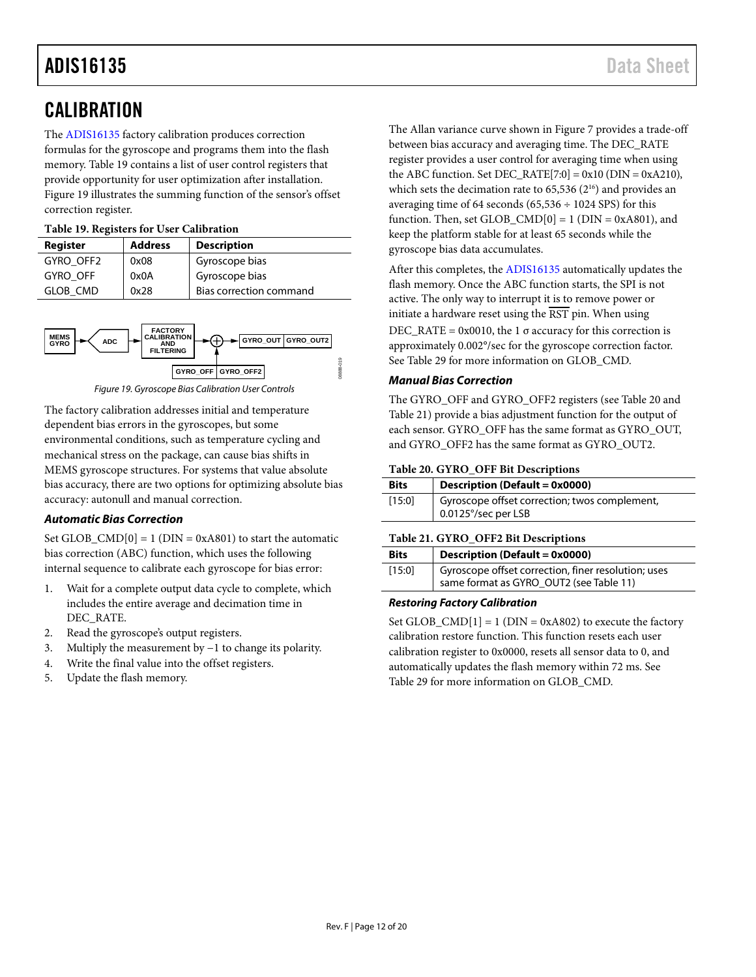# <span id="page-11-0"></span>**CALIBRATION**

The [ADIS16135](http://analog.com/ADIS16135?doc=ADIS16135.pdf) factory calibration produces correction formulas for the gyroscope and programs them into the flash memory. [Table 19](#page-11-3) contains a list of user control registers that provide opportunity for user optimization after installation. [Figure 19](#page-11-4) illustrates the summing function of the sensor's offset correction register.

#### <span id="page-11-3"></span>**Table 19. Registers for User Calibration**

| Register        | <b>Address</b> | <b>Description</b>      |
|-----------------|----------------|-------------------------|
| GYRO OFF2       | 0x08           | Gyroscope bias          |
| GYRO OFF        | 0x0A           | Gyroscope bias          |
| <b>GLOB CMD</b> | 0x28           | Bias correction command |



*Figure 19. Gyroscope Bias Calibration User Controls*

<span id="page-11-4"></span>The factory calibration addresses initial and temperature dependent bias errors in the gyroscopes, but some environmental conditions, such as temperature cycling and mechanical stress on the package, can cause bias shifts in MEMS gyroscope structures. For systems that value absolute bias accuracy, there are two options for optimizing absolute bias accuracy: autonull and manual correction.

### *Automatic Bias Correction*

Set GLOB\_CMD $[0] = 1$  (DIN = 0xA801) to start the automatic bias correction (ABC) function, which uses the following internal sequence to calibrate each gyroscope for bias error:

- 1. Wait for a complete output data cycle to complete, which includes the entire average and decimation time in DEC\_RATE.
- 2. Read the gyroscope's output registers.
- 3. Multiply the measurement by −1 to change its polarity.
- 4. Write the final value into the offset registers.
- 5. Update the flash memory.

The Allan variance curve shown i[n Figure 7](#page-6-1) provides a trade-off between bias accuracy and averaging time. The DEC\_RATE register provides a user control for averaging time when using the ABC function. Set DEC\_RATE $[7:0] = 0x10$  (DIN = 0xA210), which sets the decimation rate to  $65,536$   $(2^{16})$  and provides an averaging time of 64 seconds (65,536  $\div$  1024 SPS) for this function. Then, set GLOB\_CMD $[0] = 1$  (DIN = 0xA801), and keep the platform stable for at least 65 seconds while the gyroscope bias data accumulates.

After this completes, th[e ADIS16135](http://analog.com/ADIS16135?doc=ADIS16135.pdf) automatically updates the flash memory. Once the ABC function starts, the SPI is not active. The only way to interrupt it is to remove power or initiate a hardware reset using the  $\overline{\text{RST}}$  pin. When using  $DEC\_RATE = 0x0010$ , the 1  $\sigma$  accuracy for this correction is approximately 0.002°/sec for the gyroscope correction factor. See [Table 29](#page-13-5) for more information on GLOB\_CMD.

#### *Manual Bias Correction*

The GYRO\_OFF and GYRO\_OFF2 registers (see [Table 20](#page-11-2) and [Table 21\)](#page-11-1) provide a bias adjustment function for the output of each sensor. GYRO\_OFF has the same format as GYRO\_OUT, and GYRO\_OFF2 has the same format as GYRO\_OUT2.

#### <span id="page-11-2"></span>**Table 20. GYRO\_OFF Bit Descriptions**

| <b>Bits</b> | Description (Default = 0x0000)                                       |
|-------------|----------------------------------------------------------------------|
| [15:0]      | Gyroscope offset correction; twos complement,<br>0.0125°/sec per LSB |

#### <span id="page-11-1"></span>**Table 21. GYRO\_OFF2 Bit Descriptions**

| <b>Bits</b> | Description (Default = 0x0000)                      |
|-------------|-----------------------------------------------------|
| [15:0]      | Gyroscope offset correction, finer resolution; uses |
|             | same format as GYRO_OUT2 (see Table 11)             |

#### *Restoring Factory Calibration*

Set GLOB  $\text{CMD}[1] = 1$  (DIN = 0xA802) to execute the factory calibration restore function. This function resets each user calibration register to 0x0000, resets all sensor data to 0, and automatically updates the flash memory within 72 ms. See [Table 29](#page-13-5) for more information on GLOB\_CMD.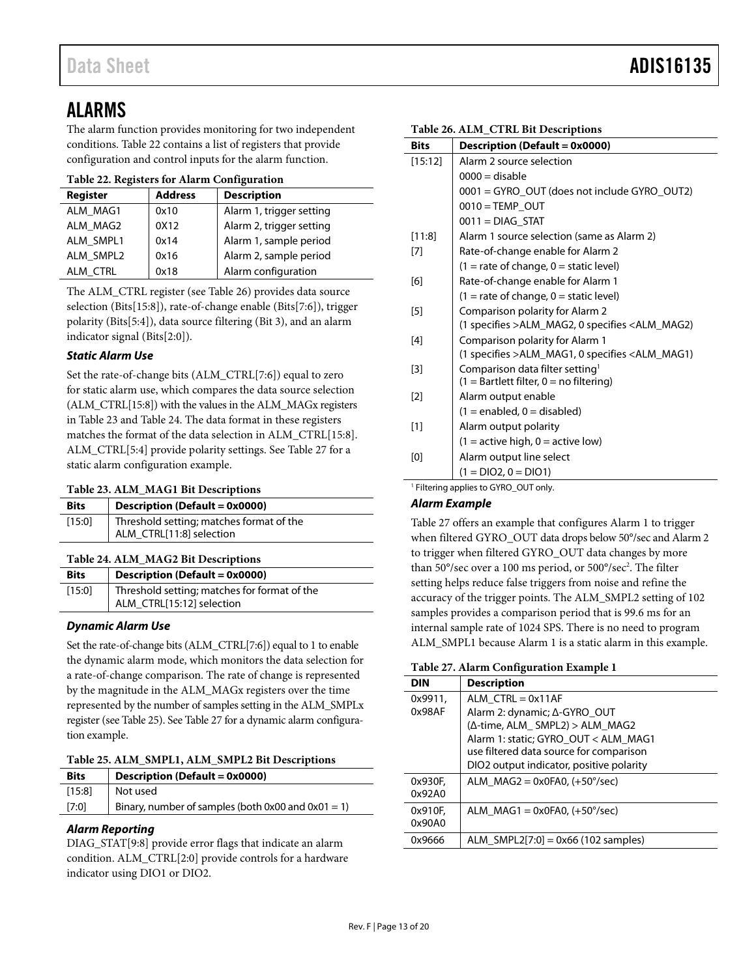## <span id="page-12-0"></span>ALARMS

The alarm function provides monitoring for two independent conditions[. Table 22](#page-12-5) contains a list of registers that provide configuration and control inputs for the alarm function.

<span id="page-12-5"></span>

|  | Table 22. Registers for Alarm Configuration |
|--|---------------------------------------------|
|  |                                             |

| <b>Register</b> | <b>Address</b> | <b>Description</b>       |
|-----------------|----------------|--------------------------|
| ALM MAG1        | 0x10           | Alarm 1, trigger setting |
| ALM MAG2        | 0X12           | Alarm 2, trigger setting |
| ALM SMPL1       | 0x14           | Alarm 1, sample period   |
| ALM SMPL2       | 0x16           | Alarm 2, sample period   |
| ALM CTRL        | 0x18           | Alarm configuration      |

The ALM\_CTRL register (see [Table 26\)](#page-12-4) provides data source selection (Bits[15:8]), rate-of-change enable (Bits[7:6]), trigger polarity (Bits[5:4]), data source filtering (Bit 3), and an alarm indicator signal (Bits[2:0]).

### *Static Alarm Use*

Set the rate-of-change bits (ALM\_CTRL[7:6]) equal to zero for static alarm use, which compares the data source selection (ALM\_CTRL[15:8]) with the values in the ALM\_MAGx registers in [Table 23](#page-12-1) and [Table 24.](#page-12-2) The data format in these registers matches the format of the data selection in ALM\_CTRL[15:8]. ALM\_CTRL[5:4] provide polarity settings. See [Table 27](#page-12-6) for a static alarm configuration example.

### <span id="page-12-1"></span>**Table 23. ALM\_MAG1 Bit Descriptions**

| <b>Bits</b> | Description (Default = 0x0000)                                       |
|-------------|----------------------------------------------------------------------|
| [15:0]      | Threshold setting; matches format of the<br>ALM CTRL[11:8] selection |

### <span id="page-12-2"></span>**Table 24. ALM\_MAG2 Bit Descriptions**

| <b>Bits</b> | Description (Default = 0x0000)               |
|-------------|----------------------------------------------|
| [15:0]      | Threshold setting; matches for format of the |
|             | ALM_CTRL[15:12] selection                    |

### *Dynamic Alarm Use*

Set the rate-of-change bits (ALM\_CTRL[7:6]) equal to 1 to enable the dynamic alarm mode, which monitors the data selection for a rate-of-change comparison. The rate of change is represented by the magnitude in the ALM\_MAGx registers over the time represented by the number of samples setting in the ALM\_SMPLx register (see [Table 25\)](#page-12-3). Se[e Table 27](#page-12-6) for a dynamic alarm configuration example.

<span id="page-12-3"></span>

| Table 25. ALM_SMPL1, ALM_SMPL2 Bit Descriptions |  |  |
|-------------------------------------------------|--|--|
|                                                 |  |  |

| <b>Bits</b> | Description (Default = 0x0000)                     |
|-------------|----------------------------------------------------|
| [15:8]      | Not used                                           |
| [7:0]       | Binary, number of samples (both 0x00 and 0x01 = 1) |
|             |                                                    |

### *Alarm Reporting*

DIAG\_STAT[9:8] provide error flags that indicate an alarm condition. ALM\_CTRL[2:0] provide controls for a hardware indicator using DIO1 or DIO2.

| <b>Bits</b> | Description (Default = 0x0000)                   |
|-------------|--------------------------------------------------|
| [15:12]     | Alarm 2 source selection                         |
|             | $0000 =$ disable                                 |
|             | 0001 = GYRO_OUT (does not include GYRO_OUT2)     |
|             | $0010 = TEMP$ OUT                                |
|             | $0011 = DIAG$ STAT                               |
| [11:8]      | Alarm 1 source selection (same as Alarm 2)       |
| [7]         | Rate-of-change enable for Alarm 2                |
|             | $(1 =$ rate of change, $0 =$ static level)       |
| [6]         | Rate-of-change enable for Alarm 1                |
|             | $(1 = rate of change, 0 = static level)$         |
| $[5]$       | Comparison polarity for Alarm 2                  |
|             | (1 specifies > ALM_MAG2, 0 specifies < ALM_MAG2) |
| $[4]$       | Comparison polarity for Alarm 1                  |
|             | (1 specifies > ALM_MAG1, 0 specifies < ALM_MAG1) |
| $[3]$       | Comparison data filter setting <sup>1</sup>      |
|             | $(1 = Bartlett filter, 0 = no filtering)$        |
| $[2]$       | Alarm output enable                              |
|             | $(1 = enabled, 0 = disabled)$                    |
| $[1]$       | Alarm output polarity                            |
|             | $(1 = active high, 0 = active low)$              |
| [0]         | Alarm output line select                         |
|             | $(1 = DIO2, 0 = DIO1)$                           |
| $1 - 1$ .   |                                                  |

### <sup>1</sup> Filtering applies to GYRO\_OUT only.

### *Alarm Example*

[Table 27](#page-12-6) offers an example that configures Alarm 1 to trigger when filtered GYRO\_OUT data drops below 50°/sec and Alarm 2 to trigger when filtered GYRO\_OUT data changes by more than 50°/sec over a 100 ms period, or 500°/sec<sup>2</sup>. The filter setting helps reduce false triggers from noise and refine the accuracy of the trigger points. The ALM\_SMPL2 setting of 102 samples provides a comparison period that is 99.6 ms for an internal sample rate of 1024 SPS. There is no need to program ALM\_SMPL1 because Alarm 1 is a static alarm in this example.

#### <span id="page-12-6"></span>**Table 27. Alarm Configuration Example 1**

| <b>DIN</b>        | <b>Description</b>                                                                                                                                                                                                   |
|-------------------|----------------------------------------------------------------------------------------------------------------------------------------------------------------------------------------------------------------------|
| 0x9911.<br>0x98AF | ALM $CTR = 0x11AF$<br>Alarm 2: dynamic; ∆-GYRO_OUT<br>(Δ-time, ALM_ SMPL2) > ALM_MAG2<br>Alarm 1: static; GYRO OUT < ALM MAG1<br>use filtered data source for comparison<br>DIO2 output indicator, positive polarity |
| 0x930F,<br>0x92A0 | ALM $MAG2 = 0x0FA0$ , $(+50^{\circ}/sec)$                                                                                                                                                                            |
| 0x910F.<br>0x90A0 | ALM $MAG1 = 0x0FA0$ , $(+50^{\circ}/sec)$                                                                                                                                                                            |
| 0x9666            | ALM SMPL2[7:0] = $0x66$ (102 samples)                                                                                                                                                                                |

#### <span id="page-12-4"></span>**Table 26. ALM\_CTRL Bit Descriptions**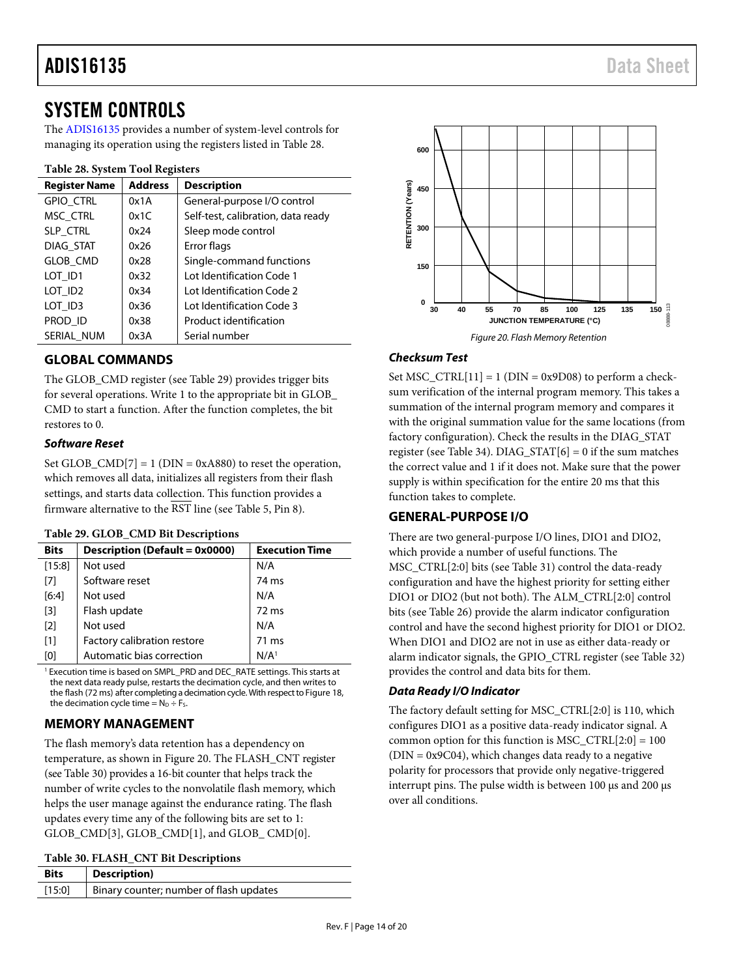## <span id="page-13-0"></span>SYSTEM CONTROLS

The [ADIS16135](http://analog.com/ADIS16135?doc=ADIS16135.pdf) provides a number of system-level controls for managing its operation using the registers listed in [Table 28.](#page-13-6)

#### <span id="page-13-6"></span>**Table 28. System Tool Registers**

| <b>Register Name</b> | <b>Address</b> | <b>Description</b>                 |
|----------------------|----------------|------------------------------------|
| <b>GPIO CTRL</b>     | 0x1A           | General-purpose I/O control        |
| MSC CTRL             | 0x1C           | Self-test, calibration, data ready |
| SLP_CTRL             | 0x24           | Sleep mode control                 |
| DIAG STAT            | 0x26           | Error flags                        |
| <b>GLOB CMD</b>      | 0x28           | Single-command functions           |
| LOT ID1              | 0x32           | Lot Identification Code 1          |
| LOT ID <sub>2</sub>  | 0x34           | Lot Identification Code 2          |
| LOT ID3              | 0x36           | Lot Identification Code 3          |
| PROD ID              | 0x38           | Product identification             |
| SERIAL NUM           | 0x3A           | Serial number                      |

### <span id="page-13-1"></span>**GLOBAL COMMANDS**

The GLOB\_CMD register (see [Table 29\)](#page-13-5) provides trigger bits for several operations. Write 1 to the appropriate bit in GLOB\_ CMD to start a function. After the function completes, the bit restores to 0.

### *Software Reset*

Set GLOB\_CMD[7] = 1 ( $DIN = 0xA880$ ) to reset the operation, which removes all data, initializes all registers from their flash settings, and starts data collection. This function provides a firmware alternative to the  $\overline{\text{RST}}$  line (se[e Table 5,](#page-5-1) Pin 8).

#### <span id="page-13-5"></span>**Table 29. GLOB\_CMD Bit Descriptions**

| $1.0017 - 2.0000 - 0.00000 - 0.00000 - 0.00000$ |                                |                       |
|-------------------------------------------------|--------------------------------|-----------------------|
| <b>Bits</b>                                     | Description (Default = 0x0000) | <b>Execution Time</b> |
| [15:8]                                          | Not used                       | N/A                   |
| $[7]$                                           | Software reset                 | 74 ms                 |
| $[6:4]$                                         | Not used                       | N/A                   |
| $[3]$                                           | Flash update                   | 72 ms                 |
| $[2]$                                           | Not used                       | N/A                   |
| $[1]$                                           | Factory calibration restore    | 71 ms                 |
| [0]                                             | Automatic bias correction      | N/A <sup>1</sup>      |

<sup>1</sup> Execution time is based on SMPL\_PRD and DEC\_RATE settings. This starts at the next data ready pulse, restarts the decimation cycle, and then writes to the flash (72 ms) after completing a decimation cycle. With respect to [Figure 18,](#page-10-1) the decimation cycle time =  $N_D \div F_S$ 

### <span id="page-13-2"></span>**MEMORY MANAGEMENT**

The flash memory's data retention has a dependency on temperature, as shown i[n Figure 20.](#page-13-7) The FLASH\_CNT register (se[e Table 30\)](#page-13-4) provides a 16-bit counter that helps track the number of write cycles to the nonvolatile flash memory, which helps the user manage against the endurance rating. The flash updates every time any of the following bits are set to 1: GLOB\_CMD[3], GLOB\_CMD[1], and GLOB\_ CMD[0].

<span id="page-13-4"></span>

| Table 30. FLASH_CNT Bit Descriptions |  |  |
|--------------------------------------|--|--|
|--------------------------------------|--|--|

| <b>Bits</b> | Description)                            |
|-------------|-----------------------------------------|
| [15:0]      | Binary counter; number of flash updates |



### <span id="page-13-7"></span>*Checksum Test*

Set  $MSC_CTRL[11] = 1$  (DIN = 0x9D08) to perform a checksum verification of the internal program memory. This takes a summation of the internal program memory and compares it with the original summation value for the same locations (from factory configuration). Check the results in the DIAG\_STAT register (see [Table 34\)](#page-14-6). DIAG\_STAT $[6] = 0$  if the sum matches the correct value and 1 if it does not. Make sure that the power supply is within specification for the entire 20 ms that this function takes to complete.

### <span id="page-13-3"></span>**GENERAL-PURPOSE I/O**

There are two general-purpose I/O lines, DIO1 and DIO2, which provide a number of useful functions. The MSC\_CTRL[2:0] bits (see [Table 31\)](#page-14-4) control the data-ready configuration and have the highest priority for setting either DIO1 or DIO2 (but not both). The ALM\_CTRL[2:0] control bits (see [Table 26\)](#page-12-4) provide the alarm indicator configuration control and have the second highest priority for DIO1 or DIO2. When DIO1 and DIO2 are not in use as either data-ready or alarm indicator signals, the GPIO\_CTRL register (see [Table 32\)](#page-14-3) provides the control and data bits for them.

#### *Data Ready I/O Indicator*

The factory default setting for MSC\_CTRL[2:0] is 110, which configures DIO1 as a positive data-ready indicator signal. A common option for this function is  $MSC_CTRL[2:0] = 100$  $(DIN = 0x9C04)$ , which changes data ready to a negative polarity for processors that provide only negative-triggered interrupt pins. The pulse width is between 100 μs and 200 μs over all conditions.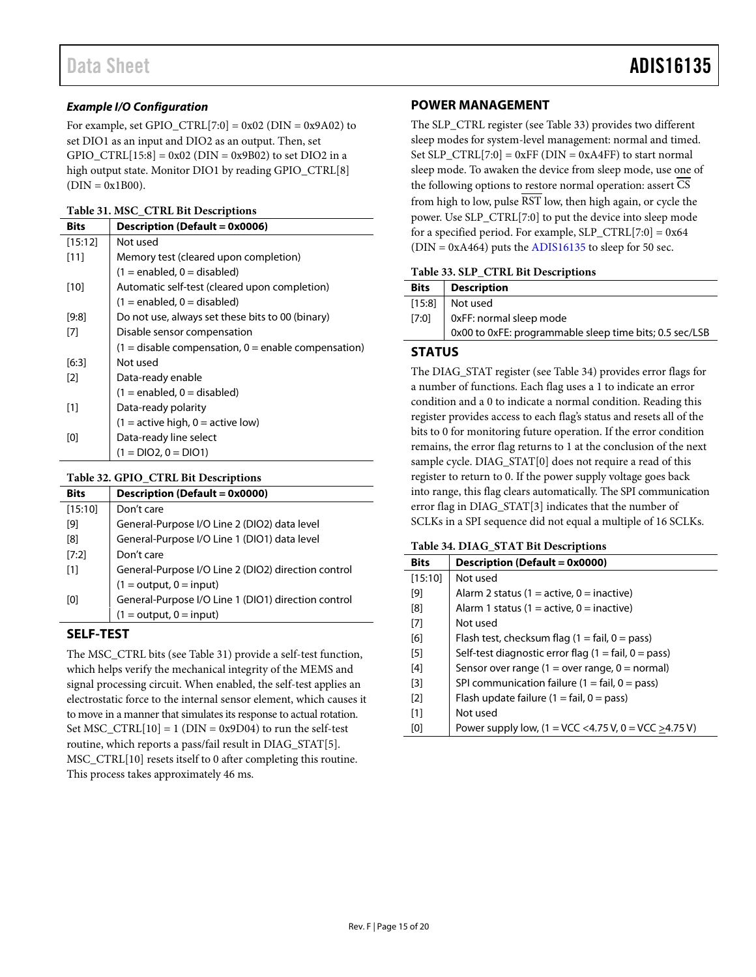#### *Example I/O Configuration*

For example, set GPIO  $\text{CTRL}[7:0] = 0x02 \text{ (DIN} = 0x9A02)$  to set DIO1 as an input and DIO2 as an output. Then, set GPIO\_CTRL $[15:8] = 0x02$  (DIN = 0x9B02) to set DIO2 in a high output state. Monitor DIO1 by reading GPIO\_CTRL[8]  $(DIN = 0x1B00)$ .

#### <span id="page-14-4"></span>**Table 31. MSC\_CTRL Bit Descriptions**

| <b>Bits</b> | Description (Default = 0x0006)                          |
|-------------|---------------------------------------------------------|
| [15:12]     | Not used                                                |
| [11]        | Memory test (cleared upon completion)                   |
|             | $(1 =$ enabled, 0 = disabled)                           |
| [10]        | Automatic self-test (cleared upon completion)           |
|             | $(1 =$ enabled, $0 =$ disabled)                         |
| [9:8]       | Do not use, always set these bits to 00 (binary)        |
| [7]         | Disable sensor compensation                             |
|             | $(1 =$ disable compensation, $0 =$ enable compensation) |
| [6:3]       | Not used                                                |
| [2]         | Data-ready enable                                       |
|             | $(1 =$ enabled, $0 =$ disabled)                         |
| [1]         | Data-ready polarity                                     |
|             | $(1 =$ active high, $0 =$ active low)                   |
| [0]         | Data-ready line select                                  |
|             | $(1 = DIO2, 0 = DIO1)$                                  |

#### <span id="page-14-3"></span>**Table 32. GPIO\_CTRL Bit Descriptions**

| <b>Bits</b>       | <b>Description (Default = 0x0000)</b>               |
|-------------------|-----------------------------------------------------|
| [15:10]           | Don't care                                          |
| [9]               | General-Purpose I/O Line 2 (DIO2) data level        |
| [8]               | General-Purpose I/O Line 1 (DIO1) data level        |
| [7:2]             | Don't care                                          |
| $\lceil 1 \rceil$ | General-Purpose I/O Line 2 (DIO2) direction control |
|                   | $(1 = output, 0 = input)$                           |
| [0]               | General-Purpose I/O Line 1 (DIO1) direction control |
|                   | $(1 = output, 0 = input)$                           |

### <span id="page-14-0"></span>**SELF-TEST**

The MSC\_CTRL bits (see [Table 31\)](#page-14-4) provide a self-test function, which helps verify the mechanical integrity of the MEMS and signal processing circuit. When enabled, the self-test applies an electrostatic force to the internal sensor element, which causes it to move in a manner that simulates its response to actual rotation. Set MSC\_CTRL $[10] = 1$  (DIN = 0x9D04) to run the self-test routine, which reports a pass/fail result in DIAG\_STAT[5]. MSC\_CTRL[10] resets itself to 0 after completing this routine. This process takes approximately 46 ms.

#### <span id="page-14-1"></span>**POWER MANAGEMENT**

The SLP\_CTRL register (se[e Table 33\)](#page-14-5) provides two different sleep modes for system-level management: normal and timed. Set  $SLP_CTRL[7:0] = 0xFF$  (DIN = 0xA4FF) to start normal sleep mode. To awaken the device from sleep mode, use one of the following options to restore normal operation: assert CS from high to low, pulse RST low, then high again, or cycle the power. Use SLP\_CTRL[7:0] to put the device into sleep mode for a specified period. For example, SLP\_CTRL[7:0] =  $0x64$  $(DIN = 0xA464)$  puts th[e ADIS16135](http://www.analog.com/ADIS16135?doc=ADIS16135.pdf) to sleep for 50 sec.

#### <span id="page-14-5"></span>**Table 33. SLP\_CTRL Bit Descriptions**

| <b>Bits</b> | <b>Description</b>                                      |
|-------------|---------------------------------------------------------|
| [15:8]      | Not used                                                |
| [7:0]       | 0xFF: normal sleep mode                                 |
|             | 0x00 to 0xFE: programmable sleep time bits; 0.5 sec/LSB |
|             |                                                         |

#### <span id="page-14-2"></span>**STATUS**

The DIAG\_STAT register (see [Table 34\)](#page-14-6) provides error flags for a number of functions. Each flag uses a 1 to indicate an error condition and a 0 to indicate a normal condition. Reading this register provides access to each flag's status and resets all of the bits to 0 for monitoring future operation. If the error condition remains, the error flag returns to 1 at the conclusion of the next sample cycle. DIAG\_STAT[0] does not require a read of this register to return to 0. If the power supply voltage goes back into range, this flag clears automatically. The SPI communication error flag in DIAG\_STAT[3] indicates that the number of SCLKs in a SPI sequence did not equal a multiple of 16 SCLKs.

#### <span id="page-14-6"></span>**Table 34. DIAG\_STAT Bit Descriptions**

| <b>Bits</b>       | Description (Default = 0x0000)                                       |
|-------------------|----------------------------------------------------------------------|
| [15:10]           | Not used                                                             |
| [9]               | Alarm 2 status (1 = active, 0 = inactive)                            |
| [8]               | Alarm 1 status (1 = active, 0 = inactive)                            |
| [7]               | Not used                                                             |
| [6]               | Flash test, checksum flag $(1 = \text{fail}, 0 = \text{pass})$       |
| [5]               | Self-test diagnostic error flag $(1 = \text{fail}, 0 = \text{pass})$ |
| [4]               | Sensor over range $(1 = over range, 0 = normal)$                     |
| $\lceil 3 \rceil$ | SPI communication failure $(1 = \text{fail}, 0 = \text{pass})$       |
| $\lceil 2 \rceil$ | Flash update failure $(1 = \text{fail}, 0 = \text{pass})$            |
| [1]               | Not used                                                             |
| [0]               | Power supply low, $(1 = VCC < 4.75 V, 0 = VCC > 4.75 V)$             |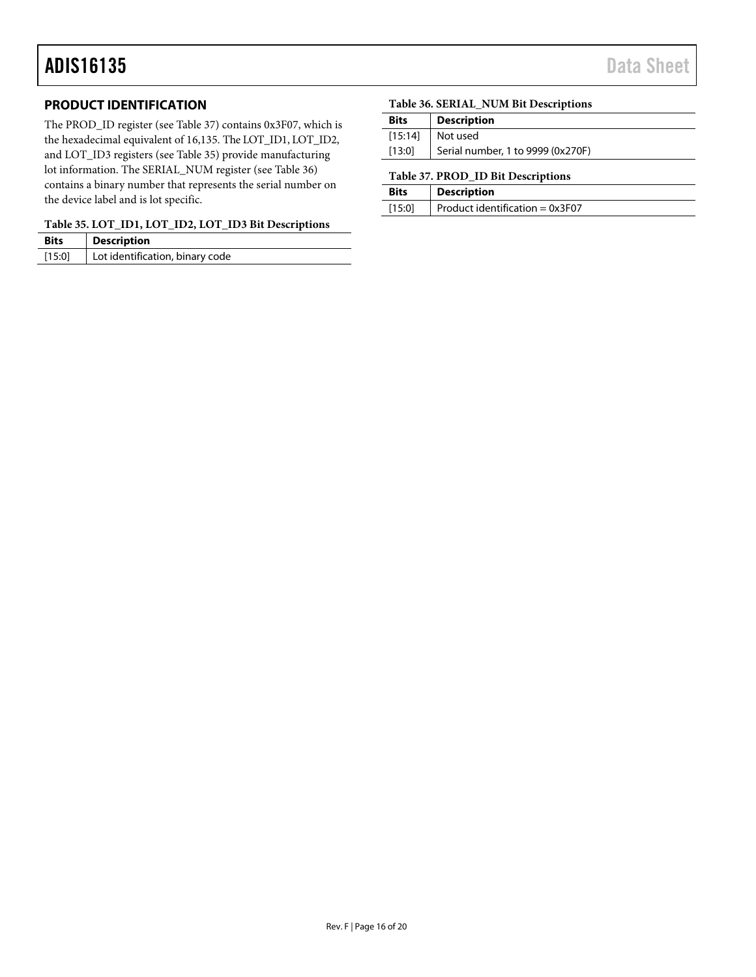### <span id="page-15-0"></span>**PRODUCT IDENTIFICATION**

The PROD\_ID register (see [Table 37\)](#page-15-2) contains 0x3F07, which is the hexadecimal equivalent of 16,135. The LOT\_ID1, LOT\_ID2, and LOT\_ID3 registers (see [Table 35\)](#page-15-1) provide manufacturing lot information. The SERIAL\_NUM register (see [Table 36\)](#page-15-3) contains a binary number that represents the serial number on the device label and is lot specific.

#### <span id="page-15-1"></span>**Table 35. LOT\_ID1, LOT\_ID2, LOT\_ID3 Bit Descriptions**

| <b>Bits</b> | <b>Description</b>              |
|-------------|---------------------------------|
| [15:0]      | Lot identification, binary code |

#### <span id="page-15-3"></span>**Table 36. SERIAL\_NUM Bit Descriptions**

| <b>Bits</b> | <b>Description</b>                |
|-------------|-----------------------------------|
| $[15:14]$   | l Not used                        |
| [13:0]      | Serial number, 1 to 9999 (0x270F) |

#### <span id="page-15-2"></span>**Table 37. PROD\_ID Bit Descriptions**

| <b>Bits</b> | <b>Description</b>                      |
|-------------|-----------------------------------------|
| [15:0]      | $\vert$ Product identification = 0x3F07 |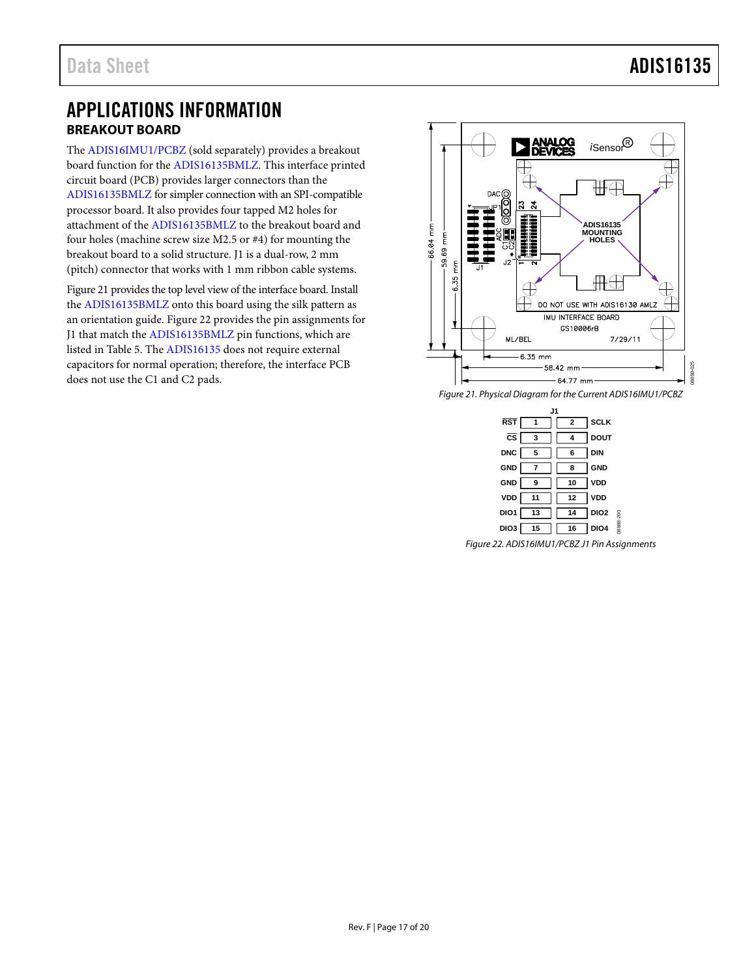### <span id="page-16-0"></span>APPLICATIONS INFORMATION **BREAKOUT BOARD**

<span id="page-16-1"></span>The [ADIS16IMU1/PCBZ \(](http://analog.com/EVAL-ADIS16IMU1?doc=ADIS16135.pdf)sold separately) provides a breakout board function for th[e ADIS16135BMLZ.](http://analog.com/ADIS16135?doc=ADIS16135.pdf) This interface printed circuit board (PCB) provides larger connectors than the [ADIS16135BMLZ](http://analog.com/ADIS16135?doc=ADIS16135.pdf) for simpler connection with an SPI-compatible processor board. It also provides four tapped M2 holes for attachment of th[e ADIS16135BMLZ](http://analog.com/ADIS16135?doc=ADIS16135.pdf) to the breakout board and four holes (machine screw size M2.5 or #4) for mounting the breakout board to a solid structure. J1 is a dual-row, 2 mm (pitch) connector that works with 1 mm ribbon cable systems.

[Figure 21 p](#page-16-2)rovides the top level view of the interface board. Install the [ADIS16135BMLZ](http://analog.com/ADIS16135?doc=ADIS16135.pdf) onto this board using the silk pattern as an orientation guide[. Figure 22 p](#page-16-3)rovides the pin assignments for J1 that match the [ADIS16135BMLZ](http://analog.com/ADIS16135?doc=ADIS16135.pdf) pin functions, which are listed i[n Table 5.](#page-5-1) Th[e ADIS16135 d](http://analog.com/ADIS16135?doc=ADIS16135.pdf)oes not require external capacitors for normal operation; therefore, the interface PCB does not use the C1 and C2 pads.



<span id="page-16-2"></span>Figure 21. Physical Diagram for the Current ADIS16IMU1/PCBZ

| ا ا.                   |                         |                    |                               |  |
|------------------------|-------------------------|--------------------|-------------------------------|--|
| <b>RST</b>             | $\overline{\mathbf{1}}$ | $\mathbf{2}$       | <b>SCLK</b>                   |  |
| $\overline{\text{cs}}$ | $\overline{\mathbf{3}}$ | 4                  | <b>DOUT</b>                   |  |
| <b>DNC</b>             | $5^{\circ}$             | $\mathbf{\bar{6}}$ | DIN                           |  |
| <b>GND</b>             | $\overline{7}$          | 8                  | <b>GND</b>                    |  |
| <b>GND</b>             | $\overline{\mathbf{9}}$ | 10                 | VDD                           |  |
| VDD                    | 11                      | 12                 | <b>VDD</b>                    |  |
| DIO <sub>1</sub>       | 13                      | 14                 | DIO <sub>2</sub>              |  |
| DIO <sub>3</sub>       | 15                      | 16                 | 08888-200<br>DIO <sub>4</sub> |  |

<span id="page-16-3"></span>Figure 22. ADIS16IMU1/PCBZ J1 Pin Assignments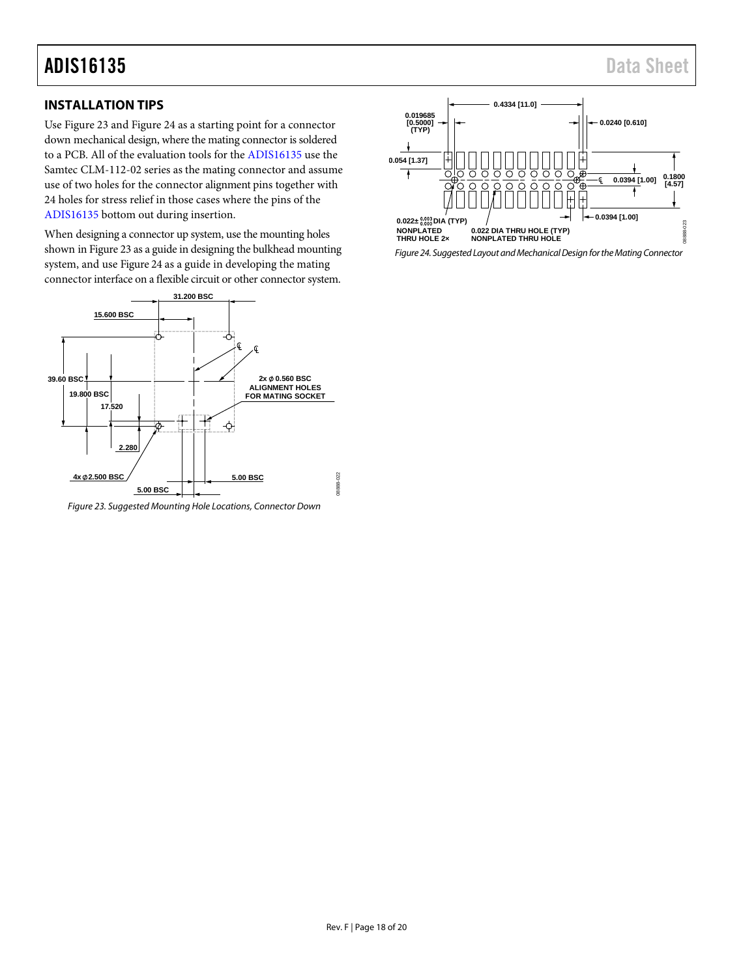### <span id="page-17-0"></span>**INSTALLATION TIPS**

Us[e Figure 23 a](#page-17-1)n[d Figure 24](#page-17-2) as a starting point for a connector down mechanical design, where the mating connector is soldered to a PCB. All of the evaluation tools for th[e ADIS16135 u](http://www.analog.com/ADIS16135?doc=ADIS16135.pdf)se the Samtec CLM-112-02 series as the mating connector and assume use of two holes for the connector alignment pins together with 24 holes for stress relief in those cases where the pins of the [ADIS16135](http://www.analog.com/ADIS16135?doc=ADIS16135.pdf) bottom out during insertion.

When designing a connector up system, use the mounting holes shown i[n Figure 23](#page-17-1) as a guide in designing the bulkhead mounting system, and us[e Figure 24](#page-17-2) as a guide in developing the mating connector interface on a flexible circuit or other connector system.



<span id="page-17-1"></span>Figure 23. Suggested Mounting Hole Locations, Connector Down



<span id="page-17-2"></span>Figure 24. Suggested Layout and Mechanical Design for the Mating Connector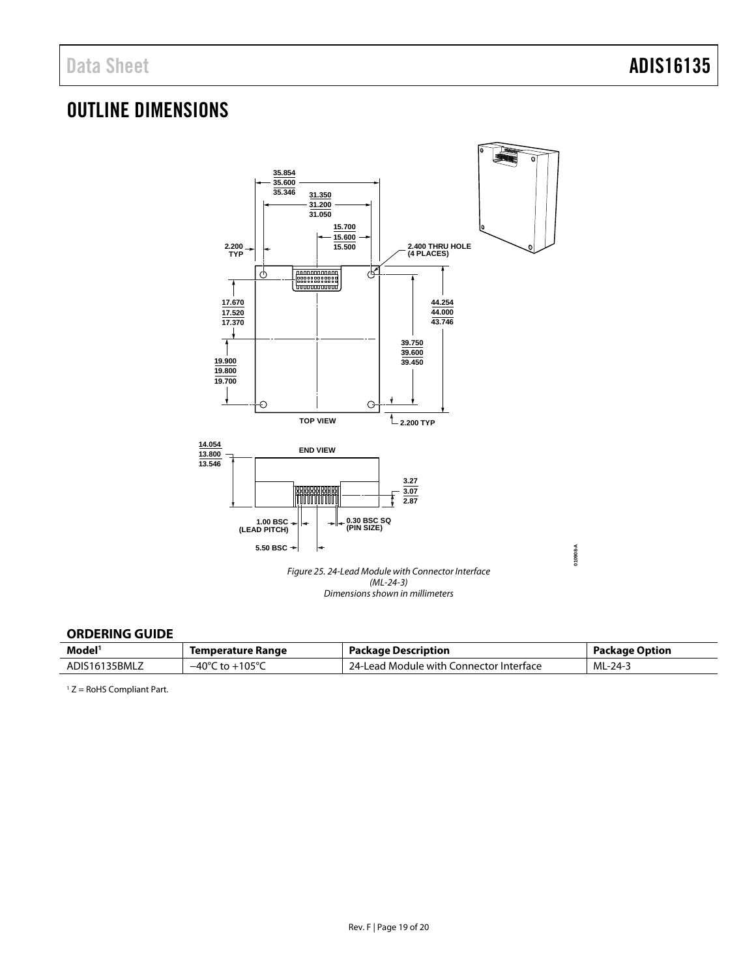# <span id="page-18-0"></span>OUTLINE DIMENSIONS



### <span id="page-18-1"></span>**ORDERING GUIDE**

| Model <sup>®</sup> | Temperature Range                   | <b>Package Description</b>                   | Package Option |
|--------------------|-------------------------------------|----------------------------------------------|----------------|
| 35BMLZ<br>ADIS161  | 105°C<br>$-40^{\circ}$<br>$+ \circ$ | Connector Interface<br>d Module with.<br>ead | ML-24-3        |

 $1 Z =$  RoHS Compliant Part.